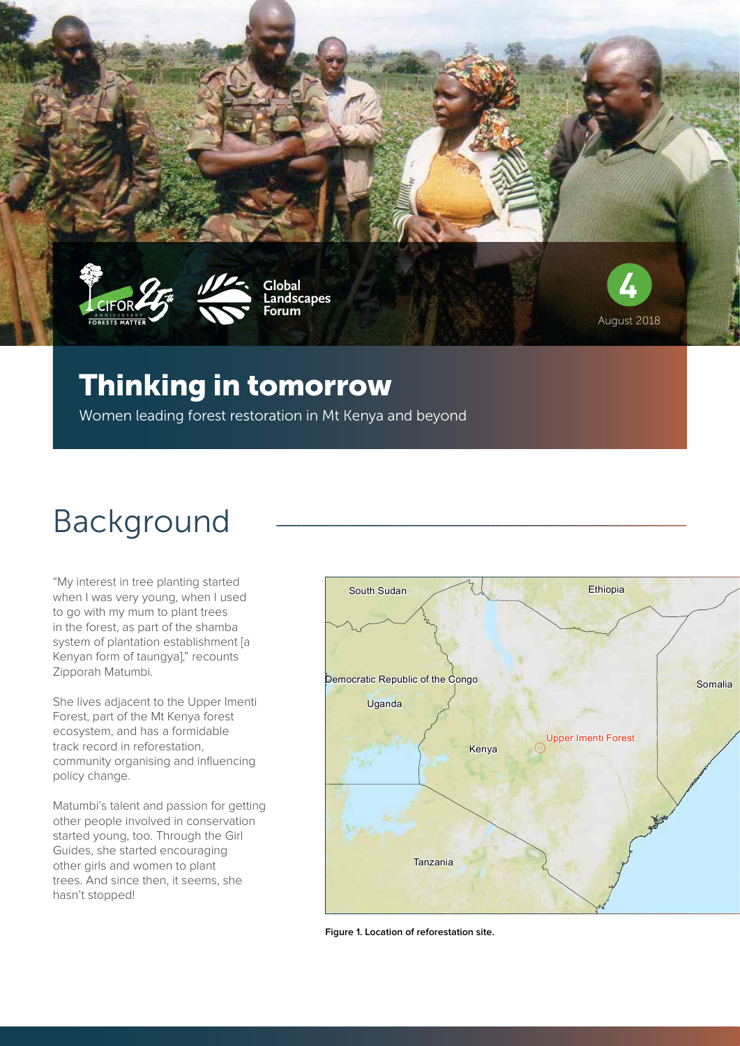

#### Thinking in tomorrow

Women leading forest restoration in Mt Kenya and beyond

## Background

"My interest in tree planting started when I was very young, when I used to go with my mum to plant trees in the forest, as part of the shamba system of plantation establishment [a Kenyan form of taungya]," recounts Zipporah Matumbi.

She lives adjacent to the Upper Imenti Forest, part of the Mt Kenya forest ecosystem, and has a formidable track record in reforestation, community organising and influencing policy change.

Matumbi's talent and passion for getting other people involved in conservation started young, too. Through the Girl Guides, she started encouraging other girls and women to plant trees. And since then, it seems, she hasn't stopped!



**Figure 1. Location of reforestation site.**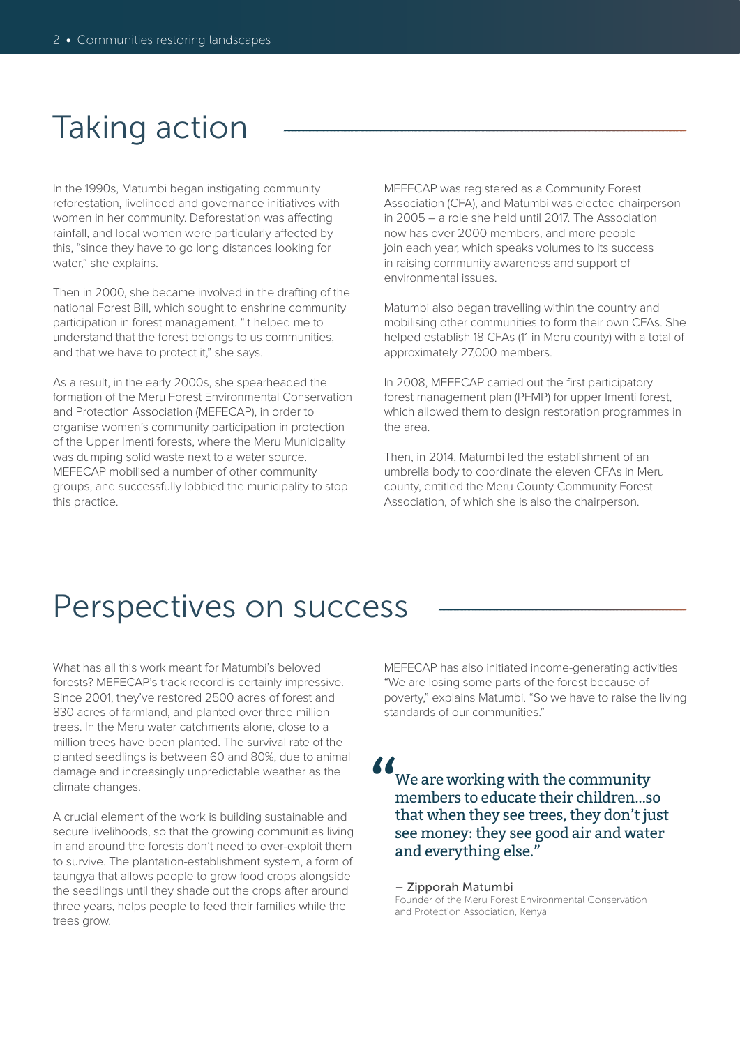## Taking action

In the 1990s, Matumbi began instigating community reforestation, livelihood and governance initiatives with women in her community. Deforestation was affecting rainfall, and local women were particularly affected by this, "since they have to go long distances looking for water," she explains.

Then in 2000, she became involved in the drafting of the national Forest Bill, which sought to enshrine community participation in forest management. "It helped me to understand that the forest belongs to us communities, and that we have to protect it," she says.

As a result, in the early 2000s, she spearheaded the formation of the Meru Forest Environmental Conservation and Protection Association (MEFECAP), in order to organise women's community participation in protection of the Upper Imenti forests, where the Meru Municipality was dumping solid waste next to a water source. MEFECAP mobilised a number of other community groups, and successfully lobbied the municipality to stop this practice.

MEFECAP was registered as a Community Forest Association (CFA), and Matumbi was elected chairperson in 2005 – a role she held until 2017. The Association now has over 2000 members, and more people join each year, which speaks volumes to its success in raising community awareness and support of environmental issues.

Matumbi also began travelling within the country and mobilising other communities to form their own CFAs. She helped establish 18 CFAs (11 in Meru county) with a total of approximately 27,000 members.

In 2008, MEFECAP carried out the first participatory forest management plan (PFMP) for upper Imenti forest, which allowed them to design restoration programmes in the area.

Then, in 2014, Matumbi led the establishment of an umbrella body to coordinate the eleven CFAs in Meru county, entitled the Meru County Community Forest Association, of which she is also the chairperson.

#### Perspectives on success

What has all this work meant for Matumbi's beloved forests? MEFECAP's track record is certainly impressive. Since 2001, they've restored 2500 acres of forest and 830 acres of farmland, and planted over three million trees. In the Meru water catchments alone, close to a million trees have been planted. The survival rate of the planted seedlings is between 60 and 80%, due to animal damage and increasingly unpredictable weather as the climate changes.

A crucial element of the work is building sustainable and secure livelihoods, so that the growing communities living in and around the forests don't need to over-exploit them to survive. The plantation-establishment system, a form of taungya that allows people to grow food crops alongside the seedlings until they shade out the crops after around three years, helps people to feed their families while the trees grow.

MEFECAP has also initiated income-generating activities "We are losing some parts of the forest because of poverty," explains Matumbi. "So we have to raise the living standards of our communities."

We are working with the community members to educate their children...so that when they see trees, they don't just see money: they see good air and water and everything else." "

– Zipporah Matumbi Founder of the Meru Forest Environmental Conservation and Protection Association, Kenya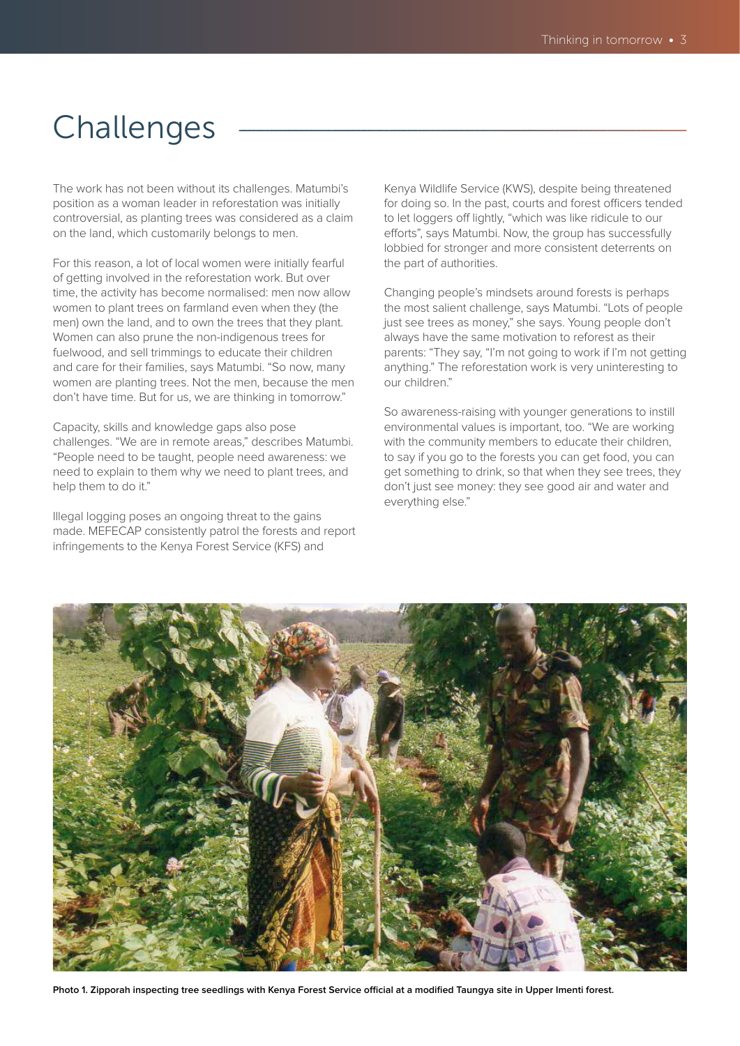## Challenges

The work has not been without its challenges. Matumbi's position as a woman leader in reforestation was initially controversial, as planting trees was considered as a claim on the land, which customarily belongs to men.

For this reason, a lot of local women were initially fearful of getting involved in the reforestation work. But over time, the activity has become normalised: men now allow women to plant trees on farmland even when they (the men) own the land, and to own the trees that they plant. Women can also prune the non-indigenous trees for fuelwood, and sell trimmings to educate their children and care for their families, says Matumbi. "So now, many women are planting trees. Not the men, because the men don't have time. But for us, we are thinking in tomorrow."

Capacity, skills and knowledge gaps also pose challenges. "We are in remote areas," describes Matumbi. "People need to be taught, people need awareness: we need to explain to them why we need to plant trees, and help them to do it."

Illegal logging poses an ongoing threat to the gains made. MEFECAP consistently patrol the forests and report infringements to the Kenya Forest Service (KFS) and

Kenya Wildlife Service (KWS), despite being threatened for doing so. In the past, courts and forest officers tended to let loggers off lightly, "which was like ridicule to our efforts", says Matumbi. Now, the group has successfully lobbied for stronger and more consistent deterrents on the part of authorities.

Changing people's mindsets around forests is perhaps the most salient challenge, says Matumbi. "Lots of people just see trees as money," she says. Young people don't always have the same motivation to reforest as their parents: "They say, "I'm not going to work if I'm not getting anything." The reforestation work is very uninteresting to our children."

So awareness-raising with younger generations to instill environmental values is important, too. "We are working with the community members to educate their children, to say if you go to the forests you can get food, you can get something to drink, so that when they see trees, they don't just see money: they see good air and water and everything else."



**Photo 1. Zipporah inspecting tree seedlings with Kenya Forest Service official at a modified Taungya site in Upper Imenti forest.**